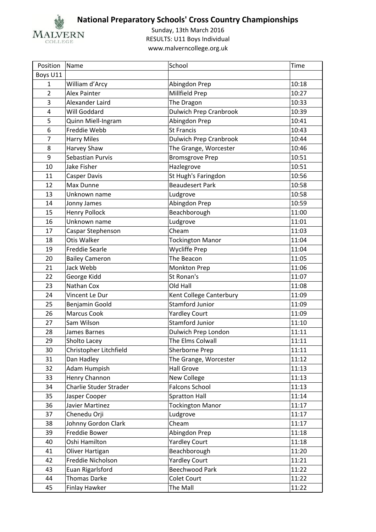

| Position       | Name                          | School                        | <b>Time</b> |
|----------------|-------------------------------|-------------------------------|-------------|
| Boys U11       |                               |                               |             |
| $\mathbf{1}$   | William d'Arcy                | Abingdon Prep                 | 10:18       |
| $\overline{2}$ | Alex Painter                  | Millfield Prep                | 10:27       |
| 3              | Alexander Laird               | The Dragon                    | 10:33       |
| 4              | Will Goddard                  | <b>Dulwich Prep Cranbrook</b> | 10:39       |
| 5              | Quinn Miell-Ingram            | Abingdon Prep                 | 10:41       |
| 6              | Freddie Webb                  | <b>St Francis</b>             | 10:43       |
| $\overline{7}$ | <b>Harry Miles</b>            | <b>Dulwich Prep Cranbrook</b> | 10:44       |
| 8              | Harvey Shaw                   | The Grange, Worcester         | 10:46       |
| 9              | Sebastian Purvis              | <b>Bromsgrove Prep</b>        | 10:51       |
| 10             | Jake Fisher                   | Hazlegrove                    | 10:51       |
| 11             | Casper Davis                  | St Hugh's Faringdon           | 10:56       |
| 12             | Max Dunne                     | <b>Beaudesert Park</b>        | 10:58       |
| 13             | Unknown name                  | Ludgrove                      | 10:58       |
| 14             | Jonny James                   | Abingdon Prep                 | 10:59       |
| 15             | <b>Henry Pollock</b>          | Beachborough                  | 11:00       |
| 16             | Unknown name                  | Ludgrove                      | 11:01       |
| 17             | Caspar Stephenson             | Cheam                         | 11:03       |
| 18             | Otis Walker                   | <b>Tockington Manor</b>       | 11:04       |
| 19             | <b>Freddie Searle</b>         | Wycliffe Prep                 | 11:04       |
| 20             | <b>Bailey Cameron</b>         | The Beacon                    | 11:05       |
| 21             | Jack Webb                     | Monkton Prep                  | 11:06       |
| 22             | George Kidd                   | St Ronan's                    | 11:07       |
| 23             | Nathan Cox                    | Old Hall                      | 11:08       |
| 24             | Vincent Le Dur                | Kent College Canterbury       | 11:09       |
| 25             | Benjamin Goold                | <b>Stamford Junior</b>        | 11:09       |
| 26             | Marcus Cook                   | <b>Yardley Court</b>          | 11:09       |
| 27             | Sam Wilson                    | <b>Stamford Junior</b>        | 11:10       |
| 28             | James Barnes                  | Dulwich Prep London           | 11:11       |
| 29             | Sholto Lacey                  | The Elms Colwall              | 11:11       |
| 30             | Christopher Litchfield        | Sherborne Prep                | 11:11       |
| 31             | Dan Hadley                    | The Grange, Worcester         | 11:12       |
| 32             | Adam Humpish                  | <b>Hall Grove</b>             | 11:13       |
| 33             | Henry Channon                 | New College                   | 11:13       |
| 34             | <b>Charlie Studer Strader</b> | <b>Falcons School</b>         | 11:13       |
| 35             | Jasper Cooper                 | <b>Spratton Hall</b>          | 11:14       |
| 36             | Javier Martinez               | <b>Tockington Manor</b>       | 11:17       |
| 37             | Chenedu Orji                  | Ludgrove                      | 11:17       |
| 38             | Johnny Gordon Clark           | Cheam                         | 11:17       |
| 39             | Freddie Bower                 | Abingdon Prep                 | 11:18       |
| 40             | Oshi Hamilton                 | <b>Yardley Court</b>          | 11:18       |
| 41             | Oliver Hartigan               | Beachborough                  | 11:20       |
| 42             | Freddie Nicholson             | <b>Yardley Court</b>          | 11:21       |
| 43             | Euan Rigarlsford              | Beechwood Park                | 11:22       |
| 44             | Thomas Darke                  | Colet Court                   | 11:22       |
| 45             | Finlay Hawker                 | The Mall                      | 11:22       |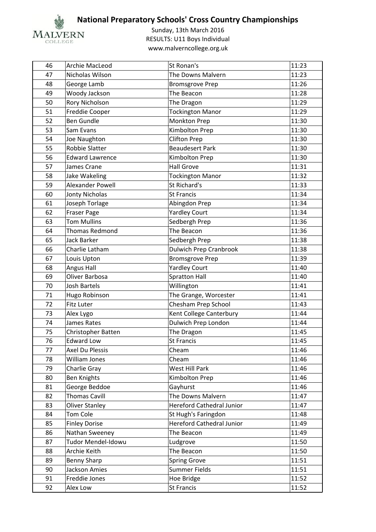

| 46 | Archie MacLeod         | St Ronan's                       | 11:23 |
|----|------------------------|----------------------------------|-------|
| 47 | Nicholas Wilson        | The Downs Malvern                | 11:23 |
| 48 | George Lamb            | <b>Bromsgrove Prep</b>           | 11:26 |
| 49 | Woody Jackson          | The Beacon                       | 11:28 |
| 50 | Rory Nicholson         | The Dragon                       | 11:29 |
| 51 | Freddie Cooper         | <b>Tockington Manor</b>          | 11:29 |
| 52 | <b>Ben Gundle</b>      | Monkton Prep                     | 11:30 |
| 53 | Sam Evans              | Kimbolton Prep                   | 11:30 |
| 54 | Joe Naughton           | <b>Clifton Prep</b>              | 11:30 |
| 55 | <b>Robbie Slatter</b>  | <b>Beaudesert Park</b>           | 11:30 |
| 56 | <b>Edward Lawrence</b> | Kimbolton Prep                   | 11:30 |
| 57 | James Crane            | <b>Hall Grove</b>                | 11:31 |
| 58 | Jake Wakeling          | <b>Tockington Manor</b>          | 11:32 |
| 59 | Alexander Powell       | St Richard's                     | 11:33 |
| 60 | Jonty Nicholas         | <b>St Francis</b>                | 11:34 |
| 61 | Joseph Torlage         | Abingdon Prep                    | 11:34 |
| 62 | <b>Fraser Page</b>     | <b>Yardley Court</b>             | 11:34 |
| 63 | <b>Tom Mullins</b>     | Sedbergh Prep                    | 11:36 |
| 64 | Thomas Redmond         | The Beacon                       | 11:36 |
| 65 | <b>Jack Barker</b>     | Sedbergh Prep                    | 11:38 |
| 66 | Charlie Latham         | <b>Dulwich Prep Cranbrook</b>    | 11:38 |
| 67 | Louis Upton            | <b>Bromsgrove Prep</b>           | 11:39 |
| 68 | Angus Hall             | <b>Yardley Court</b>             | 11:40 |
| 69 | Oliver Barbosa         | <b>Spratton Hall</b>             | 11:40 |
| 70 | <b>Josh Bartels</b>    | Willington                       | 11:41 |
| 71 | Hugo Robinson          | The Grange, Worcester            | 11:41 |
| 72 | Fitz Luter             | Chesham Prep School              | 11:43 |
| 73 | Alex Lygo              | Kent College Canterbury          | 11:44 |
| 74 | James Rates            | Dulwich Prep London              | 11:44 |
| 75 | Christopher Batten     | The Dragon                       | 11:45 |
| 76 | <b>Edward Low</b>      | <b>St Francis</b>                | 11:45 |
| 77 | Axel Du Plessis        | Cheam                            | 11:46 |
| 78 | William Jones          | Cheam                            | 11:46 |
| 79 | Charlie Gray           | West Hill Park                   | 11:46 |
| 80 | <b>Ben Knights</b>     | Kimbolton Prep                   | 11:46 |
| 81 | George Beddoe          | Gayhurst                         | 11:46 |
| 82 | <b>Thomas Cavill</b>   | The Downs Malvern                | 11:47 |
| 83 | <b>Oliver Stanley</b>  | <b>Hereford Cathedral Junior</b> | 11:47 |
| 84 | Tom Cole               | St Hugh's Faringdon              | 11:48 |
| 85 | <b>Finley Dorise</b>   | <b>Hereford Cathedral Junior</b> | 11:49 |
| 86 | Nathan Sweeney         | The Beacon                       | 11:49 |
| 87 | Tudor Mendel-Idowu     | Ludgrove                         | 11:50 |
| 88 | Archie Keith           | The Beacon                       | 11:50 |
| 89 | <b>Benny Sharp</b>     | <b>Spring Grove</b>              | 11:51 |
| 90 | Jackson Amies          | Summer Fields                    | 11:51 |
| 91 | Freddie Jones          | Hoe Bridge                       | 11:52 |
| 92 | Alex Low               | St Francis                       | 11:52 |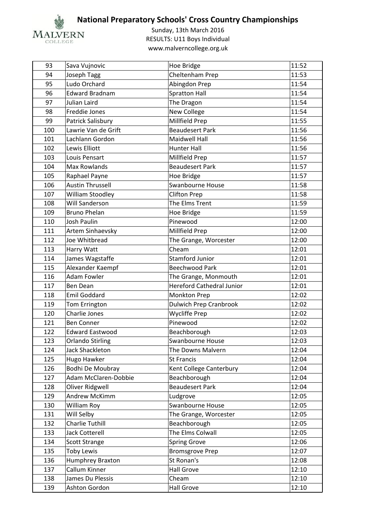

| 93  | Sava Vujnovic           | Hoe Bridge                       | 11:52 |
|-----|-------------------------|----------------------------------|-------|
| 94  | Joseph Tagg             | Cheltenham Prep                  | 11:53 |
| 95  | Ludo Orchard            | Abingdon Prep                    | 11:54 |
| 96  | <b>Edward Bradnam</b>   | <b>Spratton Hall</b>             | 11:54 |
| 97  | Julian Laird            | The Dragon                       | 11:54 |
| 98  | Freddie Jones           | New College                      | 11:54 |
| 99  | Patrick Salisbury       | Millfield Prep                   | 11:55 |
| 100 | Lawrie Van de Grift     | <b>Beaudesert Park</b>           | 11:56 |
| 101 | Lachlann Gordon         | <b>Maidwell Hall</b>             | 11:56 |
| 102 | Lewis Elliott           | <b>Hunter Hall</b>               | 11:56 |
| 103 | Louis Pensart           | Millfield Prep                   | 11:57 |
| 104 | Max Rowlands            | <b>Beaudesert Park</b>           | 11:57 |
| 105 | Raphael Payne           | Hoe Bridge                       | 11:57 |
| 106 | <b>Austin Thrussell</b> | Swanbourne House                 | 11:58 |
| 107 | <b>William Stoodley</b> | <b>Clifton Prep</b>              | 11:58 |
| 108 | <b>Will Sanderson</b>   | The Elms Trent                   | 11:59 |
| 109 | <b>Bruno Phelan</b>     | Hoe Bridge                       | 11:59 |
| 110 | <b>Josh Paulin</b>      | Pinewood                         | 12:00 |
| 111 | Artem Sinhaevsky        | Millfield Prep                   | 12:00 |
| 112 | Joe Whitbread           | The Grange, Worcester            | 12:00 |
| 113 | Harry Watt              | Cheam                            | 12:01 |
| 114 | James Wagstaffe         | <b>Stamford Junior</b>           | 12:01 |
| 115 | Alexander Kaempf        | <b>Beechwood Park</b>            | 12:01 |
| 116 | <b>Adam Fowler</b>      | The Grange, Monmouth             | 12:01 |
| 117 | <b>Ben Dean</b>         | <b>Hereford Cathedral Junior</b> | 12:01 |
| 118 | <b>Emil Goddard</b>     | <b>Monkton Prep</b>              | 12:02 |
| 119 | Tom Errington           | <b>Dulwich Prep Cranbrook</b>    | 12:02 |
| 120 | Charlie Jones           | <b>Wycliffe Prep</b>             | 12:02 |
| 121 | <b>Ben Conner</b>       | Pinewood                         | 12:02 |
| 122 | <b>Edward Eastwood</b>  | Beachborough                     | 12:03 |
| 123 | <b>Orlando Stirling</b> | Swanbourne House                 | 12:03 |
| 124 | Jack Shackleton         | The Downs Malvern                | 12:04 |
| 125 | Hugo Hawker             | St Francis                       | 12:04 |
| 126 | Bodhi De Moubray        | Kent College Canterbury          | 12:04 |
| 127 | Adam McClaren-Dobbie    | Beachborough                     | 12:04 |
| 128 | Oliver Ridgwell         | <b>Beaudesert Park</b>           | 12:04 |
| 129 | Andrew McKimm           | Ludgrove                         | 12:05 |
| 130 | William Roy             | Swanbourne House                 | 12:05 |
| 131 | Will Selby              | The Grange, Worcester            | 12:05 |
| 132 | Charlie Tuthill         | Beachborough                     | 12:05 |
| 133 | Jack Cotterell          | The Elms Colwall                 | 12:05 |
| 134 | <b>Scott Strange</b>    | <b>Spring Grove</b>              | 12:06 |
| 135 | <b>Toby Lewis</b>       | <b>Bromsgrove Prep</b>           | 12:07 |
| 136 | Humphrey Braxton        | St Ronan's                       | 12:08 |
| 137 | Callum Kinner           | <b>Hall Grove</b>                | 12:10 |
| 138 | James Du Plessis        | Cheam                            | 12:10 |
| 139 | Ashton Gordon           | <b>Hall Grove</b>                | 12:10 |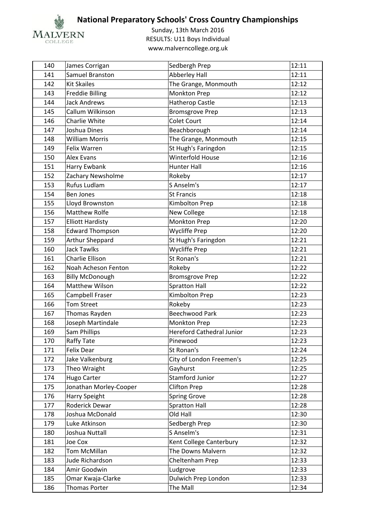

| 140 | James Corrigan          | Sedbergh Prep                    | 12:11 |
|-----|-------------------------|----------------------------------|-------|
| 141 | Samuel Branston         | <b>Abberley Hall</b>             | 12:11 |
| 142 | <b>Kit Skailes</b>      | The Grange, Monmouth             | 12:12 |
| 143 | <b>Freddie Billing</b>  | Monkton Prep                     | 12:12 |
| 144 | <b>Jack Andrews</b>     | <b>Hatherop Castle</b>           | 12:13 |
| 145 | Callum Wilkinson        | <b>Bromsgrove Prep</b>           | 12:13 |
| 146 | Charlie White           | <b>Colet Court</b>               | 12:14 |
| 147 | Joshua Dines            | Beachborough                     | 12:14 |
| 148 | <b>William Morris</b>   | The Grange, Monmouth             | 12:15 |
| 149 | Felix Warren            | St Hugh's Faringdon              | 12:15 |
| 150 | <b>Alex Evans</b>       | <b>Winterfold House</b>          | 12:16 |
| 151 | Harry Ewbank            | <b>Hunter Hall</b>               | 12:16 |
| 152 | Zachary Newsholme       | Rokeby                           | 12:17 |
| 153 | Rufus Ludlam            | S Anselm's                       | 12:17 |
| 154 | <b>Ben Jones</b>        | <b>St Francis</b>                | 12:18 |
| 155 | Lloyd Brownston         | Kimbolton Prep                   | 12:18 |
| 156 | <b>Matthew Rolfe</b>    | New College                      | 12:18 |
| 157 | <b>Elliott Hardisty</b> | Monkton Prep                     | 12:20 |
| 158 | <b>Edward Thompson</b>  | <b>Wycliffe Prep</b>             | 12:20 |
| 159 | <b>Arthur Sheppard</b>  | St Hugh's Faringdon              | 12:21 |
| 160 | <b>Jack Tawlks</b>      | <b>Wycliffe Prep</b>             | 12:21 |
| 161 | Charlie Ellison         | St Ronan's                       | 12:21 |
| 162 | Noah Acheson Fenton     | Rokeby                           | 12:22 |
| 163 | <b>Billy McDonough</b>  | <b>Bromsgrove Prep</b>           | 12:22 |
| 164 | Matthew Wilson          | <b>Spratton Hall</b>             | 12:22 |
| 165 | Campbell Fraser         | Kimbolton Prep                   | 12:23 |
| 166 | <b>Tom Street</b>       | Rokeby                           | 12:23 |
| 167 | Thomas Rayden           | <b>Beechwood Park</b>            | 12:23 |
| 168 | Joseph Martindale       | Monkton Prep                     | 12:23 |
| 169 | Sam Phillips            | <b>Hereford Cathedral Junior</b> | 12:23 |
| 170 | <b>Raffy Tate</b>       | Pinewood                         | 12:23 |
| 171 | Felix Dear              | St Ronan's                       | 12:24 |
| 172 | Jake Valkenburg         | City of London Freemen's         | 12:25 |
| 173 | Theo Wraight            | Gayhurst                         | 12:25 |
| 174 | <b>Hugo Carter</b>      | <b>Stamford Junior</b>           | 12:27 |
| 175 | Jonathan Morley-Cooper  | <b>Clifton Prep</b>              | 12:28 |
| 176 | Harry Speight           | <b>Spring Grove</b>              | 12:28 |
| 177 | Roderick Dewar          | <b>Spratton Hall</b>             | 12:28 |
| 178 | Joshua McDonald         | Old Hall                         | 12:30 |
| 179 | Luke Atkinson           | Sedbergh Prep                    | 12:30 |
| 180 | Joshua Nuttall          | S Anselm's                       | 12:31 |
| 181 | Joe Cox                 | Kent College Canterbury          | 12:32 |
| 182 | Tom McMillan            | The Downs Malvern                | 12:32 |
| 183 | Jude Richardson         | Cheltenham Prep                  | 12:33 |
| 184 | Amir Goodwin            | Ludgrove                         | 12:33 |
| 185 | Omar Kwaja-Clarke       | Dulwich Prep London              | 12:33 |
| 186 | Thomas Porter           | The Mall                         | 12:34 |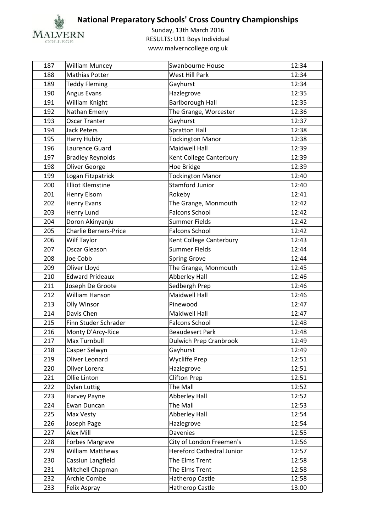

| 187 | <b>William Muncey</b>        | Swanbourne House                 | 12:34 |
|-----|------------------------------|----------------------------------|-------|
| 188 | <b>Mathias Potter</b>        | <b>West Hill Park</b>            | 12:34 |
| 189 | <b>Teddy Fleming</b>         | Gayhurst                         | 12:34 |
| 190 | Angus Evans                  | Hazlegrove                       | 12:35 |
| 191 | William Knight               | <b>Barlborough Hall</b>          | 12:35 |
| 192 | Nathan Emeny                 | The Grange, Worcester            | 12:36 |
| 193 | <b>Oscar Tranter</b>         | Gayhurst                         | 12:37 |
| 194 | <b>Jack Peters</b>           | <b>Spratton Hall</b>             | 12:38 |
| 195 | Harry Hubby                  | <b>Tockington Manor</b>          | 12:38 |
| 196 | Laurence Guard               | <b>Maidwell Hall</b>             | 12:39 |
| 197 | <b>Bradley Reynolds</b>      | Kent College Canterbury          | 12:39 |
| 198 | Oliver George                | Hoe Bridge                       | 12:39 |
| 199 | Logan Fitzpatrick            | <b>Tockington Manor</b>          | 12:40 |
| 200 | <b>Elliot Klemstine</b>      | <b>Stamford Junior</b>           | 12:40 |
| 201 | Henry Elsom                  | Rokeby                           | 12:41 |
| 202 | <b>Henry Evans</b>           | The Grange, Monmouth             | 12:42 |
| 203 | Henry Lund                   | <b>Falcons School</b>            | 12:42 |
| 204 | Doron Akinyanju              | <b>Summer Fields</b>             | 12:42 |
| 205 | <b>Charlie Berners-Price</b> | <b>Falcons School</b>            | 12:42 |
| 206 | Wilf Taylor                  | Kent College Canterbury          | 12:43 |
| 207 | <b>Oscar Gleason</b>         | <b>Summer Fields</b>             | 12:44 |
| 208 | Joe Cobb                     | <b>Spring Grove</b>              | 12:44 |
| 209 | Oliver Lloyd                 | The Grange, Monmouth             | 12:45 |
| 210 | <b>Edward Prideaux</b>       | <b>Abberley Hall</b>             | 12:46 |
| 211 | Joseph De Groote             | Sedbergh Prep                    | 12:46 |
| 212 | William Hanson               | <b>Maidwell Hall</b>             | 12:46 |
| 213 | Olly Winsor                  | Pinewood                         | 12:47 |
| 214 | Davis Chen                   | <b>Maidwell Hall</b>             | 12:47 |
| 215 | Finn Studer Schrader         | <b>Falcons School</b>            | 12:48 |
| 216 | Monty D'Arcy-Rice            | <b>Beaudesert Park</b>           | 12:48 |
| 217 | Max Turnbull                 | <b>Dulwich Prep Cranbrook</b>    | 12:49 |
| 218 | Casper Selwyn                | Gayhurst                         | 12:49 |
| 219 | Oliver Leonard               | <b>Wycliffe Prep</b>             | 12:51 |
| 220 | Oliver Lorenz                | Hazlegrove                       | 12:51 |
| 221 | Ollie Linton                 | <b>Clifton Prep</b>              | 12:51 |
| 222 | <b>Dylan Luttig</b>          | The Mall                         | 12:52 |
| 223 | Harvey Payne                 | <b>Abberley Hall</b>             | 12:52 |
| 224 | Ewan Duncan                  | The Mall                         | 12:53 |
| 225 | Max Vesty                    | Abberley Hall                    | 12:54 |
| 226 | Joseph Page                  | Hazlegrove                       | 12:54 |
| 227 | <b>Alex Mill</b>             | <b>Davenies</b>                  | 12:55 |
| 228 | Forbes Margrave              | City of London Freemen's         | 12:56 |
| 229 | <b>William Matthews</b>      | <b>Hereford Cathedral Junior</b> | 12:57 |
| 230 | Cassiun Langfield            | The Elms Trent                   | 12:58 |
| 231 | Mitchell Chapman             | The Elms Trent                   | 12:58 |
| 232 | Archie Combe                 | Hatherop Castle                  | 12:58 |
| 233 | Felix Aspray                 | Hatherop Castle                  | 13:00 |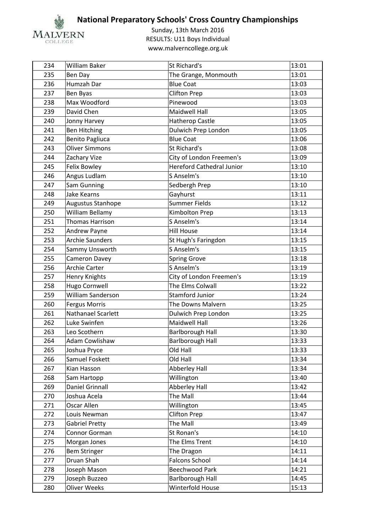

| 234 | <b>William Baker</b>     | St Richard's                     | 13:01 |
|-----|--------------------------|----------------------------------|-------|
| 235 | Ben Day                  | The Grange, Monmouth             | 13:01 |
| 236 | Humzah Dar               | <b>Blue Coat</b>                 | 13:03 |
| 237 | Ben Byas                 | <b>Clifton Prep</b>              | 13:03 |
| 238 | Max Woodford             | Pinewood                         | 13:03 |
| 239 | David Chen               | <b>Maidwell Hall</b>             | 13:05 |
| 240 | Jonny Harvey             | <b>Hatherop Castle</b>           | 13:05 |
| 241 | <b>Ben Hitching</b>      | Dulwich Prep London              | 13:05 |
| 242 | <b>Benito Pagliuca</b>   | <b>Blue Coat</b>                 | 13:06 |
| 243 | <b>Oliver Simmons</b>    | St Richard's                     | 13:08 |
| 244 | Zachary Vize             | City of London Freemen's         | 13:09 |
| 245 | <b>Felix Bowley</b>      | <b>Hereford Cathedral Junior</b> | 13:10 |
| 246 | Angus Ludlam             | S Anselm's                       | 13:10 |
| 247 | Sam Gunning              | Sedbergh Prep                    | 13:10 |
| 248 | Jake Kearns              | Gayhurst                         | 13:11 |
| 249 | Augustus Stanhope        | Summer Fields                    | 13:12 |
| 250 | William Bellamy          | Kimbolton Prep                   | 13:13 |
| 251 | <b>Thomas Harrison</b>   | S Anselm's                       | 13:14 |
| 252 | Andrew Payne             | <b>Hill House</b>                | 13:14 |
| 253 | <b>Archie Saunders</b>   | St Hugh's Faringdon              | 13:15 |
| 254 | Sammy Unsworth           | S Anselm's                       | 13:15 |
| 255 | Cameron Davey            | <b>Spring Grove</b>              | 13:18 |
| 256 | <b>Archie Carter</b>     | S Anselm's                       | 13:19 |
| 257 | Henry Knights            | City of London Freemen's         | 13:19 |
| 258 | Hugo Cornwell            | The Elms Colwall                 | 13:22 |
| 259 | <b>William Sanderson</b> | <b>Stamford Junior</b>           | 13:24 |
| 260 | <b>Fergus Morris</b>     | The Downs Malvern                | 13:25 |
| 261 | Nathanael Scarlett       | Dulwich Prep London              | 13:25 |
| 262 | Luke Swinfen             | <b>Maidwell Hall</b>             | 13:26 |
| 263 | Leo Scothern             | <b>Barlborough Hall</b>          | 13:30 |
| 264 | <b>Adam Cowlishaw</b>    | <b>Barlborough Hall</b>          | 13:33 |
| 265 | Joshua Pryce             | Old Hall                         | 13:33 |
| 266 | Samuel Foskett           | Old Hall                         | 13:34 |
| 267 | Kian Hasson              | <b>Abberley Hall</b>             | 13:34 |
| 268 | Sam Hartopp              | Willington                       | 13:40 |
| 269 | Daniel Grinnall          | Abberley Hall                    | 13:42 |
| 270 | Joshua Acela             | The Mall                         | 13:44 |
| 271 | Oscar Allen              | Willington                       | 13:45 |
| 272 | Louis Newman             | <b>Clifton Prep</b>              | 13:47 |
| 273 | <b>Gabriel Pretty</b>    | The Mall                         | 13:49 |
| 274 | Connor Gorman            | St Ronan's                       | 14:10 |
| 275 | Morgan Jones             | The Elms Trent                   | 14:10 |
| 276 | <b>Bem Stringer</b>      | The Dragon                       | 14:11 |
| 277 | Druan Shah               | <b>Falcons School</b>            | 14:14 |
| 278 | Joseph Mason             | <b>Beechwood Park</b>            | 14:21 |
| 279 | Joseph Buzzeo            | <b>Barlborough Hall</b>          | 14:45 |
| 280 | Oliver Weeks             | Winterfold House                 | 15:13 |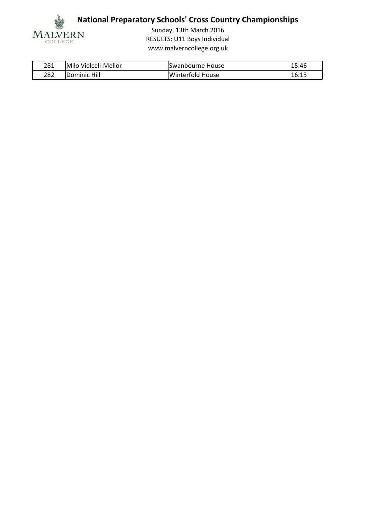

| 281 | Milo Vielceli-Mellor | Swanbourne House | 15:46 |
|-----|----------------------|------------------|-------|
| 282 | Dominic Hill         | Winterfold House | 16:15 |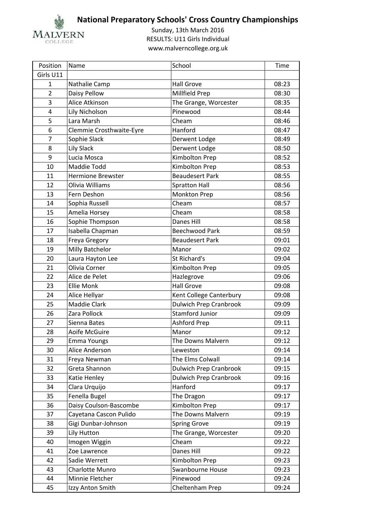

| Position       | Name                     | School                        | Time  |
|----------------|--------------------------|-------------------------------|-------|
| Girls U11      |                          |                               |       |
| $\mathbf{1}$   | Nathalie Camp            | <b>Hall Grove</b>             | 08:23 |
| $\overline{2}$ | Daisy Pellow             | Millfield Prep                | 08:30 |
| 3              | Alice Atkinson           | The Grange, Worcester         | 08:35 |
| 4              | Lily Nicholson           | Pinewood                      | 08:44 |
| 5              | Lara Marsh               | Cheam                         | 08:46 |
| 6              | Clemmie Crosthwaite-Eyre | Hanford                       | 08:47 |
| $\overline{7}$ | Sophie Slack             | Derwent Lodge                 | 08:49 |
| 8              | <b>Lily Slack</b>        | Derwent Lodge                 | 08:50 |
| 9              | Lucia Mosca              | Kimbolton Prep                | 08:52 |
| 10             | Maddie Todd              | Kimbolton Prep                | 08:53 |
| 11             | <b>Hermione Brewster</b> | <b>Beaudesert Park</b>        | 08:55 |
| 12             | Olivia Williams          | <b>Spratton Hall</b>          | 08:56 |
| 13             | Fern Deshon              | <b>Monkton Prep</b>           | 08:56 |
| 14             | Sophia Russell           | Cheam                         | 08:57 |
| 15             | Amelia Horsey            | Cheam                         | 08:58 |
| 16             | Sophie Thompson          | Danes Hill                    | 08:58 |
| 17             | Isabella Chapman         | Beechwood Park                | 08:59 |
| 18             | Freya Gregory            | <b>Beaudesert Park</b>        | 09:01 |
| 19             | Milly Batchelor          | Manor                         | 09:02 |
| 20             | Laura Hayton Lee         | St Richard's                  | 09:04 |
| 21             | Olivia Corner            | Kimbolton Prep                | 09:05 |
| 22             | Alice de Pelet           | Hazlegrove                    | 09:06 |
| 23             | <b>Ellie Monk</b>        | <b>Hall Grove</b>             | 09:08 |
| 24             | Alice Hellyar            | Kent College Canterbury       | 09:08 |
| 25             | Maddie Clark             | <b>Dulwich Prep Cranbrook</b> | 09:09 |
| 26             | Zara Pollock             | <b>Stamford Junior</b>        | 09:09 |
| 27             | Sienna Bates             | Ashford Prep                  | 09:11 |
| 28             | Aoife McGuire            | Manor                         | 09:12 |
| 29             | <b>Emma Youngs</b>       | The Downs Malvern             | 09:12 |
| 30             | Alice Anderson           | Leweston                      | 09:14 |
| 31             | Freya Newman             | The Elms Colwall              | 09:14 |
| 32             | Greta Shannon            | <b>Dulwich Prep Cranbrook</b> | 09:15 |
| 33             | Katie Henley             | <b>Dulwich Prep Cranbrook</b> | 09:16 |
| 34             | Clara Urquijo            | Hanford                       | 09:17 |
| 35             | Fenella Bugel            | The Dragon                    | 09:17 |
| 36             | Daisy Coulson-Bascombe   | Kimbolton Prep                | 09:17 |
| 37             | Cayetana Cascon Pulido   | The Downs Malvern             | 09:19 |
| 38             | Gigi Dunbar-Johnson      | <b>Spring Grove</b>           | 09:19 |
| 39             | Lily Hutton              | The Grange, Worcester         | 09:20 |
| 40             | Imogen Wiggin            | Cheam                         | 09:22 |
| 41             | Zoe Lawrence             | Danes Hill                    | 09:22 |
| 42             | Sadie Werrett            | Kimbolton Prep                | 09:23 |
| 43             | Charlotte Munro          | Swanbourne House              | 09:23 |
| 44             | Minnie Fletcher          | Pinewood                      | 09:24 |
| 45             | Izzy Anton Smith         | Cheltenham Prep               | 09:24 |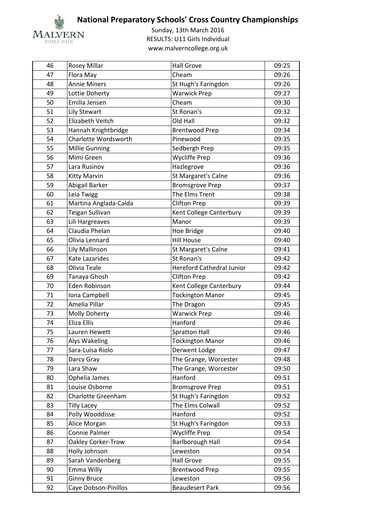

| 46 | <b>Rosey Millar</b>    | <b>Hall Grove</b>                | 09:25 |
|----|------------------------|----------------------------------|-------|
| 47 | Flora May              | Cheam                            | 09:26 |
| 48 | <b>Annie Miners</b>    | St Hugh's Faringdon              | 09:26 |
| 49 | Lottie Doherty         | <b>Warwick Prep</b>              | 09:27 |
| 50 | Emilia Jensen          | Cheam                            | 09:30 |
| 51 | <b>Lily Stewart</b>    | St Ronan's                       | 09:32 |
| 52 | Elizabeth Veitch       | Old Hall                         | 09:32 |
| 53 | Hannah Knightbridge    | <b>Brentwood Prep</b>            | 09:34 |
| 54 | Charlotte Wordsworth   | Pinewood                         | 09:35 |
| 55 | Millie Gunning         | Sedbergh Prep                    | 09:35 |
| 56 | Mimi Green             | Wycliffe Prep                    | 09:36 |
| 57 | Lara Rusinov           | Hazlegrove                       | 09:36 |
| 58 | Kitty Marvin           | St Margaret's Calne              | 09:36 |
| 59 | Abigail Barker         | <b>Bromsgrove Prep</b>           | 09:37 |
| 60 | Leia Twigg             | The Elms Trent                   | 09:38 |
| 61 | Martina Anglada-Calda  | <b>Clifton Prep</b>              | 09:39 |
| 62 | <b>Teigan Sullivan</b> | Kent College Canterbury          | 09:39 |
| 63 | Lili Hargreaves        | Manor                            | 09:39 |
| 64 | Claudia Phelan         | Hoe Bridge                       | 09:40 |
| 65 | Olivia Lennard         | <b>Hill House</b>                | 09:40 |
| 66 | Lily Mallinson         | St Margaret's Calne              | 09:41 |
| 67 | Kate Lazarides         | St Ronan's                       | 09:42 |
| 68 | Olivia Teale           | <b>Hereford Cathedral Junior</b> | 09:42 |
| 69 | Tanaya Ghosh           | <b>Clifton Prep</b>              | 09:42 |
| 70 | Eden Robinson          | Kent College Canterbury          | 09:44 |
| 71 | Iona Campbell          | <b>Tockington Manor</b>          | 09:45 |
| 72 | Amelia Pillar          | The Dragon                       | 09:45 |
| 73 | Molly Doherty          | <b>Warwick Prep</b>              | 09:46 |
| 74 | Eliza Ellis            | Hanford                          | 09:46 |
| 75 | Lauren Hewett          | <b>Spratton Hall</b>             | 09:46 |
| 76 | Alys Wakeling          | <b>Tockington Manor</b>          | 09:46 |
| 77 | Sara-Luisa Riolo       | Derwent Lodge                    | 09:47 |
| 78 | Darcy Gray             | The Grange, Worcester            | 09:48 |
| 79 | Lara Shaw              | The Grange, Worcester            | 09:50 |
| 80 | Ophelia James          | Hanford                          | 09:51 |
| 81 | Louise Osborne         | <b>Bromsgrove Prep</b>           | 09:51 |
| 82 | Charlotte Greenham     | St Hugh's Faringdon              | 09:52 |
| 83 | <b>Tilly Lacey</b>     | The Elms Colwall                 | 09:52 |
| 84 | Polly Wooddisse        | Hanford                          | 09:52 |
| 85 | Alice Morgan           | St Hugh's Faringdon              | 09:53 |
| 86 | Connie Palmer          | <b>Wycliffe Prep</b>             | 09:54 |
| 87 | Oakley Corker-Trow     | <b>Barlborough Hall</b>          | 09:54 |
| 88 | Holly Johnson          | Leweston                         | 09:54 |
| 89 | Sarah Vandenberg       | <b>Hall Grove</b>                | 09:55 |
| 90 | Emma Willy             | <b>Brentwood Prep</b>            | 09:55 |
| 91 | <b>Ginny Bruce</b>     | Leweston                         | 09:56 |
| 92 | Caye Dobson-Pinillos   | <b>Beaudesert Park</b>           | 09:56 |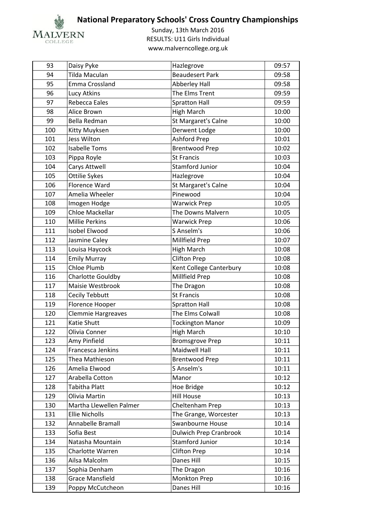

| 93  | Daisy Pyke                | Hazlegrove                    | 09:57 |
|-----|---------------------------|-------------------------------|-------|
| 94  | Tilda Maculan             | <b>Beaudesert Park</b>        | 09:58 |
| 95  | Emma Crossland            | <b>Abberley Hall</b>          | 09:58 |
| 96  | Lucy Atkins               | The Elms Trent                | 09:59 |
| 97  | Rebecca Eales             | <b>Spratton Hall</b>          | 09:59 |
| 98  | Alice Brown               | <b>High March</b>             | 10:00 |
| 99  | Bella Redman              | St Margaret's Calne           | 10:00 |
| 100 | Kitty Muyksen             | Derwent Lodge                 | 10:00 |
| 101 | Jess Wilton               | Ashford Prep                  | 10:01 |
| 102 | <b>Isabelle Toms</b>      | <b>Brentwood Prep</b>         | 10:02 |
| 103 | Pippa Royle               | <b>St Francis</b>             | 10:03 |
| 104 | Carys Attwell             | <b>Stamford Junior</b>        | 10:04 |
| 105 | Ottilie Sykes             | Hazlegrove                    | 10:04 |
| 106 | Florence Ward             | St Margaret's Calne           | 10:04 |
| 107 | Amelia Wheeler            | Pinewood                      | 10:04 |
| 108 | Imogen Hodge              | <b>Warwick Prep</b>           | 10:05 |
| 109 | Chloe Mackellar           | The Downs Malvern             | 10:05 |
| 110 | <b>Millie Perkins</b>     | <b>Warwick Prep</b>           | 10:06 |
| 111 | Isobel Elwood             | S Anselm's                    | 10:06 |
| 112 | Jasmine Caley             | Millfield Prep                | 10:07 |
| 113 | Louisa Haycock            | <b>High March</b>             | 10:08 |
| 114 | <b>Emily Murray</b>       | <b>Clifton Prep</b>           | 10:08 |
| 115 | Chloe Plumb               | Kent College Canterbury       | 10:08 |
| 116 | Charlotte Gouldby         | Millfield Prep                | 10:08 |
| 117 | Maisie Westbrook          | The Dragon                    | 10:08 |
| 118 | Cecily Tebbutt            | <b>St Francis</b>             | 10:08 |
| 119 | Florence Hooper           | <b>Spratton Hall</b>          | 10:08 |
| 120 | <b>Clemmie Hargreaves</b> | The Elms Colwall              | 10:08 |
| 121 | Katie Shutt               | <b>Tockington Manor</b>       | 10:09 |
| 122 | Olivia Conner             | <b>High March</b>             | 10:10 |
| 123 | Amy Pinfield              | <b>Bromsgrove Prep</b>        | 10:11 |
| 124 | Francesca Jenkins         | Maidwell Hall                 | 10:11 |
| 125 | Thea Mathieson            | <b>Brentwood Prep</b>         | 10:11 |
| 126 | Amelia Elwood             | S Anselm's                    | 10:11 |
| 127 | Arabella Cotton           | Manor                         | 10:12 |
| 128 | Tabitha Platt             | Hoe Bridge                    | 10:12 |
| 129 | Olivia Martin             | <b>Hill House</b>             | 10:13 |
| 130 | Martha Llewellen Palmer   | Cheltenham Prep               | 10:13 |
| 131 | <b>Ellie Nicholls</b>     | The Grange, Worcester         | 10:13 |
| 132 | Annabelle Bramall         | Swanbourne House              | 10:14 |
| 133 | Sofia Best                | <b>Dulwich Prep Cranbrook</b> | 10:14 |
| 134 | Natasha Mountain          | Stamford Junior               | 10:14 |
| 135 | Charlotte Warren          | <b>Clifton Prep</b>           | 10:14 |
| 136 | Ailsa Malcolm             | Danes Hill                    | 10:15 |
| 137 | Sophia Denham             | The Dragon                    | 10:16 |
| 138 | <b>Grace Mansfield</b>    | Monkton Prep                  | 10:16 |
| 139 | Poppy McCutcheon          | Danes Hill                    | 10:16 |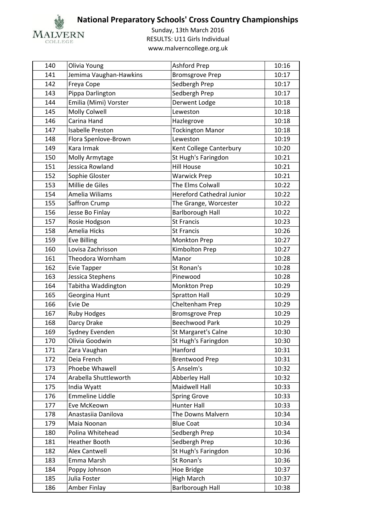

| 140 | Olivia Young            | Ashford Prep                     | 10:16 |
|-----|-------------------------|----------------------------------|-------|
| 141 | Jemima Vaughan-Hawkins  | <b>Bromsgrove Prep</b>           | 10:17 |
| 142 | Freya Cope              | Sedbergh Prep                    | 10:17 |
| 143 | Pippa Darlington        | Sedbergh Prep                    | 10:17 |
| 144 | Emilia (Mimi) Vorster   | Derwent Lodge                    | 10:18 |
| 145 | Molly Colwell           | Leweston                         | 10:18 |
| 146 | Carina Hand             | Hazlegrove                       | 10:18 |
| 147 | <b>Isabelle Preston</b> | <b>Tockington Manor</b>          | 10:18 |
| 148 | Flora Spenlove-Brown    | Leweston                         | 10:19 |
| 149 | Kara Irmak              | Kent College Canterbury          | 10:20 |
| 150 | Molly Armytage          | St Hugh's Faringdon              | 10:21 |
| 151 | Jessica Rowland         | <b>Hill House</b>                | 10:21 |
| 152 | Sophie Gloster          | <b>Warwick Prep</b>              | 10:21 |
| 153 | Millie de Giles         | The Elms Colwall                 | 10:22 |
| 154 | Amelia Wiliams          | <b>Hereford Cathedral Junior</b> | 10:22 |
| 155 | Saffron Crump           | The Grange, Worcester            | 10:22 |
| 156 | Jesse Bo Finlay         | <b>Barlborough Hall</b>          | 10:22 |
| 157 | Rosie Hodgson           | <b>St Francis</b>                | 10:23 |
| 158 | Amelia Hicks            | <b>St Francis</b>                | 10:26 |
| 159 | <b>Eve Billing</b>      | Monkton Prep                     | 10:27 |
| 160 | Lovisa Zachrisson       | Kimbolton Prep                   | 10:27 |
| 161 | Theodora Wornham        | Manor                            | 10:28 |
| 162 | <b>Evie Tapper</b>      | St Ronan's                       | 10:28 |
| 163 | Jessica Stephens        | Pinewood                         | 10:28 |
| 164 | Tabitha Waddington      | Monkton Prep                     | 10:29 |
| 165 | Georgina Hunt           | <b>Spratton Hall</b>             | 10:29 |
| 166 | Evie De                 | Cheltenham Prep                  | 10:29 |
| 167 | <b>Ruby Hodges</b>      | <b>Bromsgrove Prep</b>           | 10:29 |
| 168 | Darcy Drake             | <b>Beechwood Park</b>            | 10:29 |
| 169 | Sydney Evenden          | St Margaret's Calne              | 10:30 |
| 170 | Olivia Goodwin          | St Hugh's Faringdon              | 10:30 |
| 171 | Zara Vaughan            | Hanford                          | 10:31 |
| 172 | Deia French             | <b>Brentwood Prep</b>            | 10:31 |
| 173 | Phoebe Whawell          | S Anselm's                       | 10:32 |
| 174 | Arabella Shuttleworth   | <b>Abberley Hall</b>             | 10:32 |
| 175 | India Wyatt             | Maidwell Hall                    | 10:33 |
| 176 | <b>Emmeline Liddle</b>  | <b>Spring Grove</b>              | 10:33 |
| 177 | Eve McKeown             | <b>Hunter Hall</b>               | 10:33 |
| 178 | Anastasiia Danilova     | The Downs Malvern                | 10:34 |
| 179 | Maia Noonan             | <b>Blue Coat</b>                 | 10:34 |
| 180 | Polina Whitehead        | Sedbergh Prep                    | 10:34 |
| 181 | <b>Heather Booth</b>    | Sedbergh Prep                    | 10:36 |
| 182 | <b>Alex Cantwell</b>    | St Hugh's Faringdon              | 10:36 |
| 183 | Emma Marsh              | St Ronan's                       | 10:36 |
| 184 | Poppy Johnson           | Hoe Bridge                       | 10:37 |
| 185 | Julia Foster            | <b>High March</b>                | 10:37 |
| 186 | Amber Finlay            | <b>Barlborough Hall</b>          | 10:38 |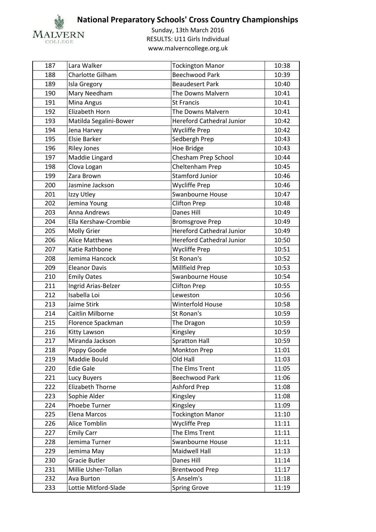

| 187 | Lara Walker            | <b>Tockington Manor</b>          | 10:38 |
|-----|------------------------|----------------------------------|-------|
| 188 | Charlotte Gilham       | <b>Beechwood Park</b>            | 10:39 |
| 189 | Isla Gregory           | <b>Beaudesert Park</b>           | 10:40 |
| 190 | Mary Needham           | The Downs Malvern                | 10:41 |
| 191 | Mina Angus             | <b>St Francis</b>                | 10:41 |
| 192 | Elizabeth Horn         | The Downs Malvern                | 10:41 |
| 193 | Matilda Segalini-Bower | <b>Hereford Cathedral Junior</b> | 10:42 |
| 194 | Jena Harvey            | <b>Wycliffe Prep</b>             | 10:42 |
| 195 | <b>Elsie Barker</b>    | Sedbergh Prep                    | 10:43 |
| 196 | <b>Riley Jones</b>     | Hoe Bridge                       | 10:43 |
| 197 | Maddie Lingard         | Chesham Prep School              | 10:44 |
| 198 | Clova Logan            | Cheltenham Prep                  | 10:45 |
| 199 | Zara Brown             | <b>Stamford Junior</b>           | 10:46 |
| 200 | Jasmine Jackson        | <b>Wycliffe Prep</b>             | 10:46 |
| 201 | Izzy Utley             | Swanbourne House                 | 10:47 |
| 202 | Jemina Young           | <b>Clifton Prep</b>              | 10:48 |
| 203 | Anna Andrews           | <b>Danes Hill</b>                | 10:49 |
| 204 | Ella Kershaw-Crombie   | <b>Bromsgrove Prep</b>           | 10:49 |
| 205 | <b>Molly Grier</b>     | <b>Hereford Cathedral Junior</b> | 10:49 |
| 206 | <b>Alice Matthews</b>  | <b>Hereford Cathedral Junior</b> | 10:50 |
| 207 | Katie Rathbone         | <b>Wycliffe Prep</b>             | 10:51 |
| 208 | Jemima Hancock         | St Ronan's                       | 10:52 |
| 209 | <b>Eleanor Davis</b>   | Millfield Prep                   | 10:53 |
| 210 | <b>Emily Oates</b>     | Swanbourne House                 | 10:54 |
| 211 | Ingrid Arias-Belzer    | <b>Clifton Prep</b>              | 10:55 |
| 212 | Isabella Loi           | Leweston                         | 10:56 |
| 213 | Jaime Stirk            | Winterfold House                 | 10:58 |
| 214 | Caitlin Milborne       | St Ronan's                       | 10:59 |
| 215 | Florence Spackman      | The Dragon                       | 10:59 |
| 216 | Kitty Lawson           | Kingsley                         | 10:59 |
| 217 | Miranda Jackson        | <b>Spratton Hall</b>             | 10:59 |
| 218 | Poppy Goode            | <b>Monkton Prep</b>              | 11:01 |
| 219 | Maddie Bould           | Old Hall                         | 11:03 |
| 220 | <b>Edie Gale</b>       | The Elms Trent                   | 11:05 |
| 221 | Lucy Buyers            | Beechwood Park                   | 11:06 |
| 222 | Elizabeth Thorne       | Ashford Prep                     | 11:08 |
| 223 | Sophie Alder           | Kingsley                         | 11:08 |
| 224 | Phoebe Turner          | Kingsley                         | 11:09 |
| 225 | Elena Marcos           | <b>Tockington Manor</b>          | 11:10 |
| 226 | Alice Tomblin          | <b>Wycliffe Prep</b>             | 11:11 |
| 227 | <b>Emily Carr</b>      | The Elms Trent                   | 11:11 |
| 228 | Jemima Turner          | Swanbourne House                 | 11:11 |
| 229 | Jemima May             | Maidwell Hall                    | 11:13 |
| 230 | <b>Gracie Butler</b>   | <b>Danes Hill</b>                | 11:14 |
| 231 | Millie Usher-Tollan    | <b>Brentwood Prep</b>            | 11:17 |
| 232 | Ava Burton             | S Anselm's                       | 11:18 |
| 233 | Lottie Mitford-Slade   | <b>Spring Grove</b>              | 11:19 |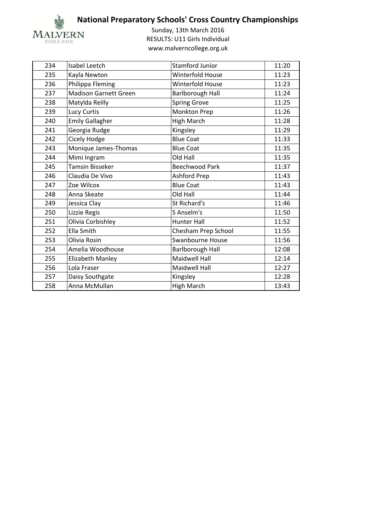

| 234<br><b>Stamford Junior</b><br>11:20<br>Isabel Leetch<br>Winterfold House<br>11:23<br>235<br>Kayla Newton<br>Philippa Fleming<br>236<br>Winterfold House<br>11:23<br><b>Madison Garnett Green</b><br><b>Barlborough Hall</b><br>237<br>11:24<br>238<br>Matylda Reilly<br><b>Spring Grove</b><br>11:25<br>Lucy Curtis<br>Monkton Prep<br>239<br>11:26<br><b>Emily Gallagher</b><br><b>High March</b><br>240<br>11:28<br>Georgia Rudge<br>Kingsley<br>11:29<br>241<br><b>Blue Coat</b><br>Cicely Hodge<br>242<br>11:33<br>Monique James-Thomas<br><b>Blue Coat</b><br>243<br>11:35<br>Mimi Ingram<br>Old Hall<br>11:35<br>244<br><b>Tamsin Bisseker</b><br>245<br><b>Beechwood Park</b><br>11:37<br>Claudia De Vivo<br>Ashford Prep<br>11:43<br>246<br><b>Blue Coat</b><br>247<br>Zoe Wilcox<br>11:43<br>248<br>Old Hall<br>11:44<br>Anna Skeate<br>11:46<br>St Richard's<br>249<br>Jessica Clay<br>Lizzie Regis<br>S Anselm's<br>11:50<br>250<br>Olivia Corbishley<br>251<br><b>Hunter Hall</b><br>11:52<br>Ella Smith<br>252<br>Chesham Prep School<br>11:55<br>Swanbourne House<br>253<br>11:56<br>Olivia Rosin<br>254<br>Amelia Woodhouse<br><b>Barlborough Hall</b><br>12:08<br><b>Maidwell Hall</b><br>255<br>Elizabeth Manley<br>12:14<br>256<br>Lola Fraser<br><b>Maidwell Hall</b><br>12:27<br>257<br>Daisy Southgate<br>Kingsley<br>12:28<br><b>High March</b><br>258<br>Anna McMullan<br>13:43 |  |  |
|-----------------------------------------------------------------------------------------------------------------------------------------------------------------------------------------------------------------------------------------------------------------------------------------------------------------------------------------------------------------------------------------------------------------------------------------------------------------------------------------------------------------------------------------------------------------------------------------------------------------------------------------------------------------------------------------------------------------------------------------------------------------------------------------------------------------------------------------------------------------------------------------------------------------------------------------------------------------------------------------------------------------------------------------------------------------------------------------------------------------------------------------------------------------------------------------------------------------------------------------------------------------------------------------------------------------------------------------------------------------------------------------------------------|--|--|
|                                                                                                                                                                                                                                                                                                                                                                                                                                                                                                                                                                                                                                                                                                                                                                                                                                                                                                                                                                                                                                                                                                                                                                                                                                                                                                                                                                                                           |  |  |
|                                                                                                                                                                                                                                                                                                                                                                                                                                                                                                                                                                                                                                                                                                                                                                                                                                                                                                                                                                                                                                                                                                                                                                                                                                                                                                                                                                                                           |  |  |
|                                                                                                                                                                                                                                                                                                                                                                                                                                                                                                                                                                                                                                                                                                                                                                                                                                                                                                                                                                                                                                                                                                                                                                                                                                                                                                                                                                                                           |  |  |
|                                                                                                                                                                                                                                                                                                                                                                                                                                                                                                                                                                                                                                                                                                                                                                                                                                                                                                                                                                                                                                                                                                                                                                                                                                                                                                                                                                                                           |  |  |
|                                                                                                                                                                                                                                                                                                                                                                                                                                                                                                                                                                                                                                                                                                                                                                                                                                                                                                                                                                                                                                                                                                                                                                                                                                                                                                                                                                                                           |  |  |
|                                                                                                                                                                                                                                                                                                                                                                                                                                                                                                                                                                                                                                                                                                                                                                                                                                                                                                                                                                                                                                                                                                                                                                                                                                                                                                                                                                                                           |  |  |
|                                                                                                                                                                                                                                                                                                                                                                                                                                                                                                                                                                                                                                                                                                                                                                                                                                                                                                                                                                                                                                                                                                                                                                                                                                                                                                                                                                                                           |  |  |
|                                                                                                                                                                                                                                                                                                                                                                                                                                                                                                                                                                                                                                                                                                                                                                                                                                                                                                                                                                                                                                                                                                                                                                                                                                                                                                                                                                                                           |  |  |
|                                                                                                                                                                                                                                                                                                                                                                                                                                                                                                                                                                                                                                                                                                                                                                                                                                                                                                                                                                                                                                                                                                                                                                                                                                                                                                                                                                                                           |  |  |
|                                                                                                                                                                                                                                                                                                                                                                                                                                                                                                                                                                                                                                                                                                                                                                                                                                                                                                                                                                                                                                                                                                                                                                                                                                                                                                                                                                                                           |  |  |
|                                                                                                                                                                                                                                                                                                                                                                                                                                                                                                                                                                                                                                                                                                                                                                                                                                                                                                                                                                                                                                                                                                                                                                                                                                                                                                                                                                                                           |  |  |
|                                                                                                                                                                                                                                                                                                                                                                                                                                                                                                                                                                                                                                                                                                                                                                                                                                                                                                                                                                                                                                                                                                                                                                                                                                                                                                                                                                                                           |  |  |
|                                                                                                                                                                                                                                                                                                                                                                                                                                                                                                                                                                                                                                                                                                                                                                                                                                                                                                                                                                                                                                                                                                                                                                                                                                                                                                                                                                                                           |  |  |
|                                                                                                                                                                                                                                                                                                                                                                                                                                                                                                                                                                                                                                                                                                                                                                                                                                                                                                                                                                                                                                                                                                                                                                                                                                                                                                                                                                                                           |  |  |
|                                                                                                                                                                                                                                                                                                                                                                                                                                                                                                                                                                                                                                                                                                                                                                                                                                                                                                                                                                                                                                                                                                                                                                                                                                                                                                                                                                                                           |  |  |
|                                                                                                                                                                                                                                                                                                                                                                                                                                                                                                                                                                                                                                                                                                                                                                                                                                                                                                                                                                                                                                                                                                                                                                                                                                                                                                                                                                                                           |  |  |
|                                                                                                                                                                                                                                                                                                                                                                                                                                                                                                                                                                                                                                                                                                                                                                                                                                                                                                                                                                                                                                                                                                                                                                                                                                                                                                                                                                                                           |  |  |
|                                                                                                                                                                                                                                                                                                                                                                                                                                                                                                                                                                                                                                                                                                                                                                                                                                                                                                                                                                                                                                                                                                                                                                                                                                                                                                                                                                                                           |  |  |
|                                                                                                                                                                                                                                                                                                                                                                                                                                                                                                                                                                                                                                                                                                                                                                                                                                                                                                                                                                                                                                                                                                                                                                                                                                                                                                                                                                                                           |  |  |
|                                                                                                                                                                                                                                                                                                                                                                                                                                                                                                                                                                                                                                                                                                                                                                                                                                                                                                                                                                                                                                                                                                                                                                                                                                                                                                                                                                                                           |  |  |
|                                                                                                                                                                                                                                                                                                                                                                                                                                                                                                                                                                                                                                                                                                                                                                                                                                                                                                                                                                                                                                                                                                                                                                                                                                                                                                                                                                                                           |  |  |
|                                                                                                                                                                                                                                                                                                                                                                                                                                                                                                                                                                                                                                                                                                                                                                                                                                                                                                                                                                                                                                                                                                                                                                                                                                                                                                                                                                                                           |  |  |
|                                                                                                                                                                                                                                                                                                                                                                                                                                                                                                                                                                                                                                                                                                                                                                                                                                                                                                                                                                                                                                                                                                                                                                                                                                                                                                                                                                                                           |  |  |
|                                                                                                                                                                                                                                                                                                                                                                                                                                                                                                                                                                                                                                                                                                                                                                                                                                                                                                                                                                                                                                                                                                                                                                                                                                                                                                                                                                                                           |  |  |
|                                                                                                                                                                                                                                                                                                                                                                                                                                                                                                                                                                                                                                                                                                                                                                                                                                                                                                                                                                                                                                                                                                                                                                                                                                                                                                                                                                                                           |  |  |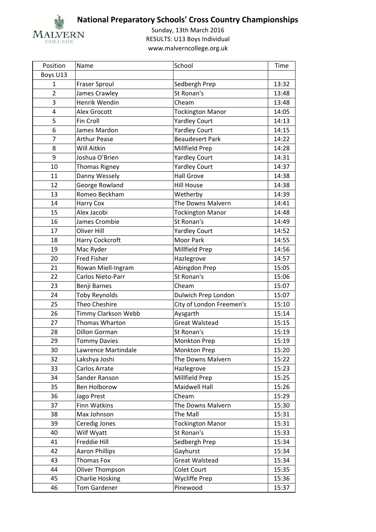

| Position       | Name                   | School                   | Time  |
|----------------|------------------------|--------------------------|-------|
| Boys U13       |                        |                          |       |
| $\mathbf{1}$   | <b>Fraser Sproul</b>   | Sedbergh Prep            | 13:32 |
| $\overline{2}$ | James Crawley          | St Ronan's               | 13:48 |
| 3              | Henrik Wendin          | Cheam                    | 13:48 |
| $\overline{4}$ | <b>Alex Grocott</b>    | <b>Tockington Manor</b>  | 14:05 |
| 5              | Fin Croll              | <b>Yardley Court</b>     | 14:13 |
| 6              | James Mardon           | <b>Yardley Court</b>     | 14:15 |
| $\overline{7}$ | <b>Arthur Pease</b>    | <b>Beaudesert Park</b>   | 14:22 |
| 8              | Will Aitkin            | Millfield Prep           | 14:28 |
| 9              | Joshua O'Brien         | <b>Yardley Court</b>     | 14:31 |
| 10             | <b>Thomas Rigney</b>   | <b>Yardley Court</b>     | 14:37 |
| 11             | Danny Wessely          | <b>Hall Grove</b>        | 14:38 |
| 12             | George Rowland         | <b>Hill House</b>        | 14:38 |
| 13             | Romeo Beckham          | Wetherby                 | 14:39 |
| 14             | Harry Cox              | The Downs Malvern        | 14:41 |
| 15             | Alex Jacobi            | <b>Tockington Manor</b>  | 14:48 |
| 16             | James Crombie          | St Ronan's               | 14:49 |
| 17             | Oliver Hill            | <b>Yardley Court</b>     | 14:52 |
| 18             | Harry Cockcroft        | Moor Park                | 14:55 |
| 19             | Mac Ryder              | Millfield Prep           | 14:56 |
| 20             | <b>Fred Fisher</b>     | Hazlegrove               | 14:57 |
| 21             | Rowan Miell-Ingram     | Abingdon Prep            | 15:05 |
| 22             | Carlos Nieto-Parr      | St Ronan's               | 15:06 |
| 23             | Benji Barnes           | Cheam                    | 15:07 |
| 24             | <b>Toby Reynolds</b>   | Dulwich Prep London      | 15:07 |
| 25             | Theo Cheshire          | City of London Freemen's | 15:10 |
| 26             | Timmy Clarkson Webb    | Aysgarth                 | 15:14 |
| 27             | Thomas Wharton         | <b>Great Walstead</b>    | 15:15 |
| 28             | <b>Dillon Gorman</b>   | St Ronan's               | 15:19 |
| 29             | <b>Tommy Davies</b>    | Monkton Prep             | 15:19 |
| 30             | Lawrence Martindale    | Monkton Prep             | 15:20 |
| 32             | Lakshya Joshi          | The Downs Malvern        | 15:22 |
| 33             | Carlos Arrate          | Hazlegrove               | 15:23 |
| 34             | Sander Ranson          | Millfield Prep           | 15:25 |
| 35             | Ben Holborow           | Maidwell Hall            | 15:26 |
| 36             | Jago Prest             | Cheam                    | 15:29 |
| 37             | Finn Watkins           | The Downs Malvern        | 15:30 |
| 38             | Max Johnson            | The Mall                 | 15:31 |
| 39             | Ceredig Jones          | <b>Tockington Manor</b>  | 15:31 |
| 40             | Wilf Wyatt             | St Ronan's               | 15:33 |
| 41             | Freddie Hill           | Sedbergh Prep            | 15:34 |
| 42             | <b>Aaron Phillips</b>  | Gayhurst                 | 15:34 |
| 43             | <b>Thomas Fox</b>      | Great Walstead           | 15:34 |
| 44             | Oliver Thompson        | Colet Court              | 15:35 |
| 45             | <b>Charlie Hosking</b> | <b>Wycliffe Prep</b>     | 15:36 |
| 46             | <b>Tom Gardener</b>    | Pinewood                 | 15:37 |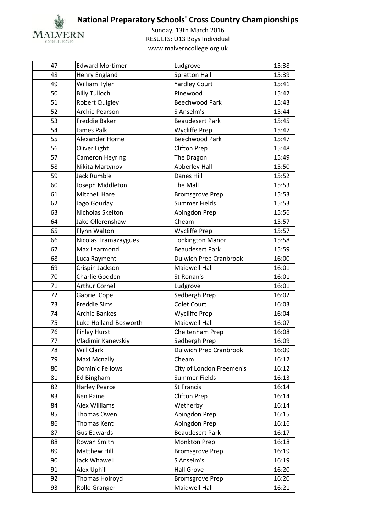

| 47 | <b>Edward Mortimer</b> | Ludgrove                      | 15:38 |
|----|------------------------|-------------------------------|-------|
| 48 | Henry England          | <b>Spratton Hall</b>          | 15:39 |
| 49 | William Tyler          | <b>Yardley Court</b>          | 15:41 |
| 50 | <b>Billy Tulloch</b>   | Pinewood                      | 15:42 |
| 51 | <b>Robert Quigley</b>  | <b>Beechwood Park</b>         | 15:43 |
| 52 | Archie Pearson         | S Anselm's                    | 15:44 |
| 53 | <b>Freddie Baker</b>   | <b>Beaudesert Park</b>        | 15:45 |
| 54 | James Palk             | <b>Wycliffe Prep</b>          | 15:47 |
| 55 | Alexander Horne        | <b>Beechwood Park</b>         | 15:47 |
| 56 | Oliver Light           | <b>Clifton Prep</b>           | 15:48 |
| 57 | <b>Cameron Heyring</b> | The Dragon                    | 15:49 |
| 58 | Nikita Martynov        | <b>Abberley Hall</b>          | 15:50 |
| 59 | <b>Jack Rumble</b>     | Danes Hill                    | 15:52 |
| 60 | Joseph Middleton       | The Mall                      | 15:53 |
| 61 | Mitchell Hare          | <b>Bromsgrove Prep</b>        | 15:53 |
| 62 | Jago Gourlay           | <b>Summer Fields</b>          | 15:53 |
| 63 | Nicholas Skelton       | Abingdon Prep                 | 15:56 |
| 64 | Jake Ollerenshaw       | Cheam                         | 15:57 |
| 65 | Flynn Walton           | <b>Wycliffe Prep</b>          | 15:57 |
| 66 | Nicolas Tramazaygues   | <b>Tockington Manor</b>       | 15:58 |
| 67 | Max Learmond           | <b>Beaudesert Park</b>        | 15:59 |
| 68 | Luca Rayment           | <b>Dulwich Prep Cranbrook</b> | 16:00 |
| 69 | Crispin Jackson        | Maidwell Hall                 | 16:01 |
| 70 | Charlie Godden         | St Ronan's                    | 16:01 |
| 71 | <b>Arthur Cornell</b>  | Ludgrove                      | 16:01 |
| 72 | <b>Gabriel Cope</b>    | Sedbergh Prep                 | 16:02 |
| 73 | <b>Freddie Sims</b>    | <b>Colet Court</b>            | 16:03 |
| 74 | <b>Archie Bankes</b>   | Wycliffe Prep                 | 16:04 |
| 75 | Luke Holland-Bosworth  | Maidwell Hall                 | 16:07 |
| 76 | <b>Finlay Hurst</b>    | Cheltenham Prep               | 16:08 |
| 77 | Vladimir Kanevskiy     | Sedbergh Prep                 | 16:09 |
| 78 | Will Clark             | <b>Dulwich Prep Cranbrook</b> | 16:09 |
| 79 | Maxi Mcnally           | Cheam                         | 16:12 |
| 80 | <b>Dominic Fellows</b> | City of London Freemen's      | 16:12 |
| 81 | Ed Bingham             | Summer Fields                 | 16:13 |
| 82 | <b>Harley Pearce</b>   | <b>St Francis</b>             | 16:14 |
| 83 | <b>Ben Paine</b>       | <b>Clifton Prep</b>           | 16:14 |
| 84 | Alex Williams          | Wetherby                      | 16:14 |
| 85 | Thomas Owen            | Abingdon Prep                 | 16:15 |
| 86 | Thomas Kent            | Abingdon Prep                 | 16:16 |
| 87 | <b>Gus Edwards</b>     | <b>Beaudesert Park</b>        | 16:17 |
| 88 | Rowan Smith            | Monkton Prep                  | 16:18 |
| 89 | Matthew Hill           | <b>Bromsgrove Prep</b>        | 16:19 |
| 90 | Jack Whawell           | S Anselm's                    | 16:19 |
| 91 | Alex Uphill            | <b>Hall Grove</b>             | 16:20 |
| 92 | Thomas Holroyd         | <b>Bromsgrove Prep</b>        | 16:20 |
| 93 | Rollo Granger          | Maidwell Hall                 | 16:21 |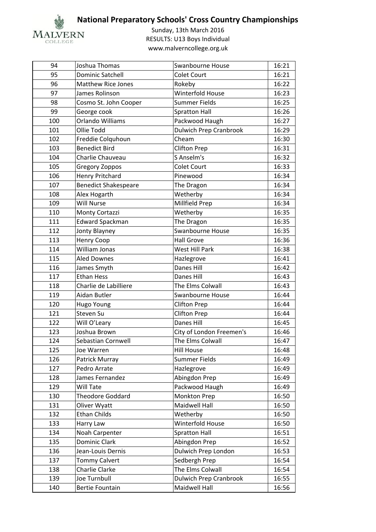

| 94  | Joshua Thomas               | <b>Swanbourne House</b>       | 16:21 |
|-----|-----------------------------|-------------------------------|-------|
| 95  | <b>Dominic Satchell</b>     | <b>Colet Court</b>            | 16:21 |
| 96  | <b>Matthew Rice Jones</b>   | Rokeby                        | 16:22 |
| 97  | James Rolinson              | Winterfold House              | 16:23 |
| 98  | Cosmo St. John Cooper       | <b>Summer Fields</b>          | 16:25 |
| 99  | George cook                 | <b>Spratton Hall</b>          | 16:26 |
| 100 | <b>Orlando Williams</b>     | Packwood Haugh                | 16:27 |
| 101 | Ollie Todd                  | <b>Dulwich Prep Cranbrook</b> | 16:29 |
| 102 | Freddie Colquhoun           | Cheam                         | 16:30 |
| 103 | <b>Benedict Bird</b>        | <b>Clifton Prep</b>           | 16:31 |
| 104 | Charlie Chauveau            | S Anselm's                    | 16:32 |
| 105 | <b>Gregory Zoppos</b>       | <b>Colet Court</b>            | 16:33 |
| 106 | Henry Pritchard             | Pinewood                      | 16:34 |
| 107 | <b>Benedict Shakespeare</b> | The Dragon                    | 16:34 |
| 108 | Alex Hogarth                | Wetherby                      | 16:34 |
| 109 | <b>Will Nurse</b>           | Millfield Prep                | 16:34 |
| 110 | Monty Cortazzi              | Wetherby                      | 16:35 |
| 111 | Edward Spackman             | The Dragon                    | 16:35 |
| 112 | Jonty Blayney               | Swanbourne House              | 16:35 |
| 113 | Henry Coop                  | <b>Hall Grove</b>             | 16:36 |
| 114 | William Jonas               | <b>West Hill Park</b>         | 16:38 |
| 115 | <b>Aled Downes</b>          | Hazlegrove                    | 16:41 |
| 116 | James Smyth                 | Danes Hill                    | 16:42 |
| 117 | <b>Ethan Hess</b>           | <b>Danes Hill</b>             | 16:43 |
| 118 | Charlie de Labilliere       | The Elms Colwall              | 16:43 |
| 119 | Aidan Butler                | Swanbourne House              | 16:44 |
| 120 | Hugo Young                  | <b>Clifton Prep</b>           | 16:44 |
| 121 | Steven Su                   | <b>Clifton Prep</b>           | 16:44 |
| 122 | Will O'Leary                | <b>Danes Hill</b>             | 16:45 |
| 123 | Joshua Brown                | City of London Freemen's      | 16:46 |
| 124 | Sebastian Cornwell          | The Elms Colwall              | 16:47 |
| 125 | Joe Warren                  | <b>Hill House</b>             | 16:48 |
| 126 | Patrick Murray              | Summer Fields                 | 16:49 |
| 127 | Pedro Arrate                | Hazlegrove                    | 16:49 |
| 128 | James Fernandez             | Abingdon Prep                 | 16:49 |
| 129 | Will Tate                   | Packwood Haugh                | 16:49 |
| 130 | <b>Theodore Goddard</b>     | Monkton Prep                  | 16:50 |
| 131 | Oliver Wyatt                | Maidwell Hall                 | 16:50 |
| 132 | <b>Ethan Childs</b>         | Wetherby                      | 16:50 |
| 133 | Harry Law                   | Winterfold House              | 16:50 |
| 134 | Noah Carpenter              | <b>Spratton Hall</b>          | 16:51 |
| 135 | Dominic Clark               | Abingdon Prep                 | 16:52 |
| 136 | Jean-Louis Dernis           | Dulwich Prep London           | 16:53 |
| 137 | <b>Tommy Calvert</b>        | Sedbergh Prep                 | 16:54 |
| 138 | Charlie Clarke              | The Elms Colwall              | 16:54 |
| 139 | Joe Turnbull                | <b>Dulwich Prep Cranbrook</b> | 16:55 |
| 140 | <b>Bertie Fountain</b>      | Maidwell Hall                 | 16:56 |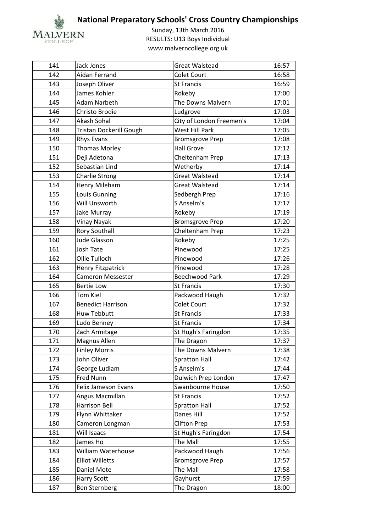

| 141 | Jack Jones                     | <b>Great Walstead</b>    | 16:57 |
|-----|--------------------------------|--------------------------|-------|
| 142 | Aidan Ferrand                  | <b>Colet Court</b>       | 16:58 |
| 143 | Joseph Oliver                  | <b>St Francis</b>        | 16:59 |
| 144 | James Kohler                   | Rokeby                   | 17:00 |
| 145 | Adam Narbeth                   | The Downs Malvern        | 17:01 |
| 146 | Christo Brodie                 | Ludgrove                 | 17:03 |
| 147 | Akash Sohal                    | City of London Freemen's | 17:04 |
| 148 | <b>Tristan Dockerill Gough</b> | <b>West Hill Park</b>    | 17:05 |
| 149 | <b>Rhys Evans</b>              | <b>Bromsgrove Prep</b>   | 17:08 |
| 150 | <b>Thomas Morley</b>           | <b>Hall Grove</b>        | 17:12 |
| 151 | Deji Adetona                   | Cheltenham Prep          | 17:13 |
| 152 | Sebastian Lind                 | Wetherby                 | 17:14 |
| 153 | <b>Charlie Strong</b>          | <b>Great Walstead</b>    | 17:14 |
| 154 | Henry Mileham                  | <b>Great Walstead</b>    | 17:14 |
| 155 | <b>Louis Gunning</b>           | Sedbergh Prep            | 17:16 |
| 156 | Will Unsworth                  | S Anselm's               | 17:17 |
| 157 | Jake Murray                    | Rokeby                   | 17:19 |
| 158 | Vinay Nayak                    | <b>Bromsgrove Prep</b>   | 17:20 |
| 159 | <b>Rory Southall</b>           | Cheltenham Prep          | 17:23 |
| 160 | <b>Jude Glasson</b>            | Rokeby                   | 17:25 |
| 161 | Josh Tate                      | Pinewood                 | 17:25 |
| 162 | Ollie Tulloch                  | Pinewood                 | 17:26 |
| 163 | Henry Fitzpatrick              | Pinewood                 | 17:28 |
| 164 | <b>Cameron Messester</b>       | <b>Beechwood Park</b>    | 17:29 |
| 165 | <b>Bertie Low</b>              | <b>St Francis</b>        | 17:30 |
| 166 | <b>Tom Kiel</b>                | Packwood Haugh           | 17:32 |
| 167 | <b>Benedict Harrison</b>       | <b>Colet Court</b>       | 17:32 |
| 168 | <b>Huw Tebbutt</b>             | <b>St Francis</b>        | 17:33 |
| 169 | Ludo Benney                    | <b>St Francis</b>        | 17:34 |
| 170 | Zach Armitage                  | St Hugh's Faringdon      | 17:35 |
| 171 | Magnus Allen                   | The Dragon               | 17:37 |
| 172 | <b>Finley Morris</b>           | The Downs Malvern        | 17:38 |
| 173 | John Oliver                    | <b>Spratton Hall</b>     | 17:42 |
| 174 | George Ludlam                  | S Anselm's               | 17:44 |
| 175 | Fred Nunn                      | Dulwich Prep London      | 17:47 |
| 176 | Felix Jameson Evans            | Swanbourne House         | 17:50 |
| 177 | Angus Macmillan                | <b>St Francis</b>        | 17:52 |
| 178 | Harrison Bell                  | <b>Spratton Hall</b>     | 17:52 |
| 179 | Flynn Whittaker                | Danes Hill               | 17:52 |
| 180 | Cameron Longman                | <b>Clifton Prep</b>      | 17:53 |
| 181 | Will Isaacs                    | St Hugh's Faringdon      | 17:54 |
| 182 | James Ho                       | The Mall                 | 17:55 |
| 183 | William Waterhouse             | Packwood Haugh           | 17:56 |
| 184 | <b>Elliot Willetts</b>         | <b>Bromsgrove Prep</b>   | 17:57 |
| 185 | Daniel Mote                    | The Mall                 | 17:58 |
| 186 | <b>Harry Scott</b>             | Gayhurst                 | 17:59 |
| 187 | Ben Sternberg                  | The Dragon               | 18:00 |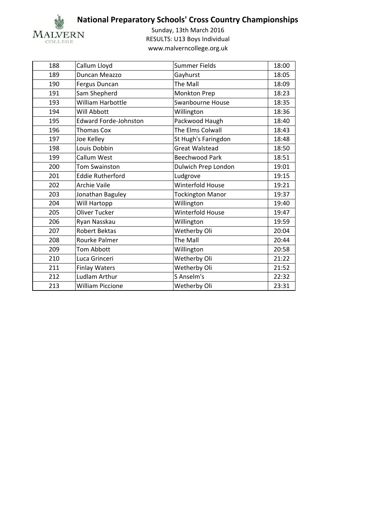

| 188 | Callum Lloyd                 | <b>Summer Fields</b>    | 18:00 |
|-----|------------------------------|-------------------------|-------|
| 189 | Duncan Meazzo                | Gayhurst                | 18:05 |
| 190 | Fergus Duncan                | The Mall                | 18:09 |
| 191 | Sam Shepherd                 | Monkton Prep            | 18:23 |
| 193 | William Harbottle            | <b>Swanbourne House</b> | 18:35 |
| 194 | Will Abbott                  | Willington              | 18:36 |
| 195 | <b>Edward Forde-Johnston</b> | Packwood Haugh          | 18:40 |
| 196 | <b>Thomas Cox</b>            | The Elms Colwall        | 18:43 |
| 197 | Joe Kelley                   | St Hugh's Faringdon     | 18:48 |
| 198 | Louis Dobbin                 | <b>Great Walstead</b>   | 18:50 |
| 199 | Callum West                  | <b>Beechwood Park</b>   | 18:51 |
| 200 | Tom Swainston                | Dulwich Prep London     | 19:01 |
| 201 | <b>Eddie Rutherford</b>      | Ludgrove                | 19:15 |
| 202 | <b>Archie Vaile</b>          | <b>Winterfold House</b> | 19:21 |
| 203 | Jonathan Baguley             | <b>Tockington Manor</b> | 19:37 |
| 204 | Will Hartopp                 | Willington              | 19:40 |
| 205 | Oliver Tucker                | Winterfold House        | 19:47 |
| 206 | Ryan Nasskau                 | Willington              | 19:59 |
| 207 | <b>Robert Bektas</b>         | Wetherby Oli            | 20:04 |
| 208 | Rourke Palmer                | The Mall                | 20:44 |
| 209 | <b>Tom Abbott</b>            | Willington              | 20:58 |
| 210 | Luca Grinceri                | Wetherby Oli            | 21:22 |
| 211 | <b>Finlay Waters</b>         | Wetherby Oli            | 21:52 |
| 212 | <b>Ludlam Arthur</b>         | S Anselm's              | 22:32 |
| 213 | <b>William Piccione</b>      | Wetherby Oli            | 23:31 |
|     |                              |                         |       |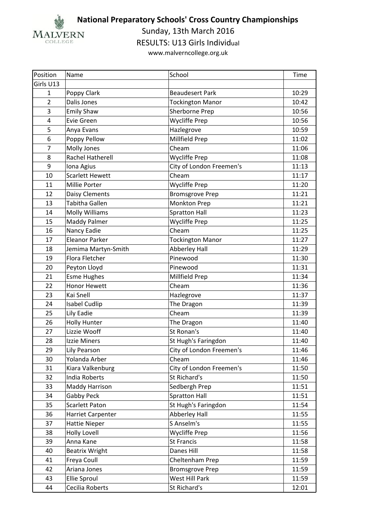

Sunday, 13th March 2016

RESULTS: U13 Girls Individual

| Position       | Name                   | School                   | Time  |
|----------------|------------------------|--------------------------|-------|
| Girls U13      |                        |                          |       |
| $\mathbf{1}$   | Poppy Clark            | <b>Beaudesert Park</b>   | 10:29 |
| $\overline{2}$ | Dalis Jones            | <b>Tockington Manor</b>  | 10:42 |
| 3              | <b>Emily Shaw</b>      | Sherborne Prep           | 10:56 |
| 4              | Evie Green             | Wycliffe Prep            | 10:56 |
| 5              | Anya Evans             | Hazlegrove               | 10:59 |
| 6              | Poppy Pellow           | Millfield Prep           | 11:02 |
| $\overline{7}$ | Molly Jones            | Cheam                    | 11:06 |
| 8              | Rachel Hatherell       | <b>Wycliffe Prep</b>     | 11:08 |
| 9              | Iona Agius             | City of London Freemen's | 11:13 |
| 10             | <b>Scarlett Hewett</b> | Cheam                    | 11:17 |
| 11             | Millie Porter          | <b>Wycliffe Prep</b>     | 11:20 |
| 12             | Daisy Clements         | <b>Bromsgrove Prep</b>   | 11:21 |
| 13             | Tabitha Gallen         | <b>Monkton Prep</b>      | 11:21 |
| 14             | <b>Molly Williams</b>  | <b>Spratton Hall</b>     | 11:23 |
| 15             | <b>Maddy Palmer</b>    | <b>Wycliffe Prep</b>     | 11:25 |
| 16             | Nancy Eadie            | Cheam                    | 11:25 |
| 17             | <b>Eleanor Parker</b>  | <b>Tockington Manor</b>  | 11:27 |
| 18             | Jemima Martyn-Smith    | <b>Abberley Hall</b>     | 11:29 |
| 19             | Flora Fletcher         | Pinewood                 | 11:30 |
| 20             | Peyton Lloyd           | Pinewood                 | 11:31 |
| 21             | <b>Esme Hughes</b>     | Millfield Prep           | 11:34 |
| 22             | <b>Honor Hewett</b>    | Cheam                    | 11:36 |
| 23             | Kai Snell              | Hazlegrove               | 11:37 |
| 24             | <b>Isabel Cudlip</b>   | The Dragon               | 11:39 |
| 25             | Lily Eadie             | Cheam                    | 11:39 |
| 26             | <b>Holly Hunter</b>    | The Dragon               | 11:40 |
| 27             | Lizzie Wooff           | St Ronan's               | 11:40 |
| 28             | Izzie Miners           | St Hugh's Faringdon      | 11:40 |
| 29             | Lily Pearson           | City of London Freemen's | 11:46 |
| 30             | Yolanda Arber          | Cheam                    | 11:46 |
| 31             | Kiara Valkenburg       | City of London Freemen's | 11:50 |
| 32             | <b>India Roberts</b>   | St Richard's             | 11:50 |
| 33             | Maddy Harrison         | Sedbergh Prep            | 11:51 |
| 34             | Gabby Peck             | <b>Spratton Hall</b>     | 11:51 |
| 35             | <b>Scarlett Paton</b>  | St Hugh's Faringdon      | 11:54 |
| 36             | Harriet Carpenter      | <b>Abberley Hall</b>     | 11:55 |
| 37             | <b>Hattie Nieper</b>   | S Anselm's               | 11:55 |
| 38             | <b>Holly Lovell</b>    | Wycliffe Prep            | 11:56 |
| 39             | Anna Kane              | <b>St Francis</b>        | 11:58 |
| 40             | <b>Beatrix Wright</b>  | Danes Hill               | 11:58 |
| 41             | Freya Coull            | Cheltenham Prep          | 11:59 |
| 42             | Ariana Jones           | <b>Bromsgrove Prep</b>   | 11:59 |
| 43             | <b>Ellie Sproul</b>    | West Hill Park           | 11:59 |
| 44             | Cecilia Roberts        | St Richard's             | 12:01 |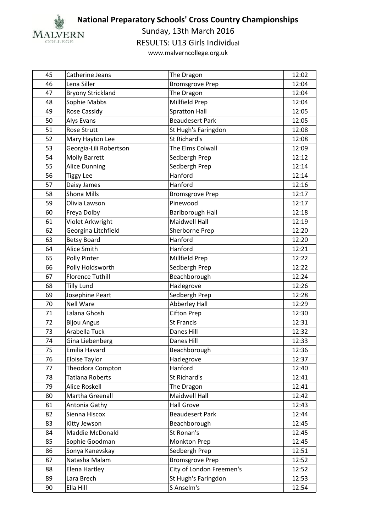

Sunday, 13th March 2016

RESULTS: U13 Girls Individual

| 45 | Catherine Jeans          | The Dragon               | 12:02 |
|----|--------------------------|--------------------------|-------|
| 46 | Lena Siller              | <b>Bromsgrove Prep</b>   | 12:04 |
| 47 | <b>Bryony Strickland</b> | The Dragon               | 12:04 |
| 48 | Sophie Mabbs             | Millfield Prep           | 12:04 |
| 49 | Rose Cassidy             | <b>Spratton Hall</b>     | 12:05 |
| 50 | Alys Evans               | <b>Beaudesert Park</b>   | 12:05 |
| 51 | <b>Rose Strutt</b>       | St Hugh's Faringdon      | 12:08 |
| 52 | Mary Hayton Lee          | St Richard's             | 12:08 |
| 53 | Georgia-Lili Robertson   | The Elms Colwall         | 12:09 |
| 54 | <b>Molly Barrett</b>     | Sedbergh Prep            | 12:12 |
| 55 | <b>Alice Dunning</b>     | Sedbergh Prep            | 12:14 |
| 56 | <b>Tiggy Lee</b>         | Hanford                  | 12:14 |
| 57 | Daisy James              | Hanford                  | 12:16 |
| 58 | Shona Mills              | <b>Bromsgrove Prep</b>   | 12:17 |
| 59 | Olivia Lawson            | Pinewood                 | 12:17 |
| 60 | Freya Dolby              | <b>Barlborough Hall</b>  | 12:18 |
| 61 | Violet Arkwright         | <b>Maidwell Hall</b>     | 12:19 |
| 62 | Georgina Litchfield      | Sherborne Prep           | 12:20 |
| 63 | <b>Betsy Board</b>       | Hanford                  | 12:20 |
| 64 | Alice Smith              | Hanford                  | 12:21 |
| 65 | Polly Pinter             | Millfield Prep           | 12:22 |
| 66 | Polly Holdsworth         | Sedbergh Prep            | 12:22 |
| 67 | <b>Florence Tuthill</b>  | Beachborough             | 12:24 |
| 68 | <b>Tilly Lund</b>        | Hazlegrove               | 12:26 |
| 69 | Josephine Peart          | Sedbergh Prep            | 12:28 |
| 70 | <b>Nell Ware</b>         | Abberley Hall            | 12:29 |
| 71 | Lalana Ghosh             | <b>Cifton Prep</b>       | 12:30 |
| 72 | <b>Bijou Angus</b>       | <b>St Francis</b>        | 12:31 |
| 73 | Arabella Tuck            | Danes Hill               | 12:32 |
| 74 | Gina Liebenberg          | Danes Hill               | 12:33 |
| 75 | Emilia Havard            | Beachborough             | 12:36 |
| 76 | <b>Eloise Taylor</b>     | Hazlegrove               | 12:37 |
| 77 | Theodora Compton         | Hanford                  | 12:40 |
| 78 | <b>Tatiana Roberts</b>   | St Richard's             | 12:41 |
| 79 | <b>Alice Roskell</b>     | The Dragon               | 12:41 |
| 80 | Martha Greenall          | Maidwell Hall            | 12:42 |
| 81 | Antonia Gathy            | <b>Hall Grove</b>        | 12:43 |
| 82 | Sienna Hiscox            | <b>Beaudesert Park</b>   | 12:44 |
| 83 | Kitty Jewson             | Beachborough             | 12:45 |
| 84 | Maddie McDonald          | St Ronan's               | 12:45 |
| 85 | Sophie Goodman           | Monkton Prep             | 12:45 |
| 86 | Sonya Kanevskay          | Sedbergh Prep            | 12:51 |
| 87 | Natasha Malam            | <b>Bromsgrove Prep</b>   | 12:52 |
| 88 | Elena Hartley            | City of London Freemen's | 12:52 |
| 89 | Lara Brech               | St Hugh's Faringdon      | 12:53 |
| 90 | Ella Hill                | S Anselm's               | 12:54 |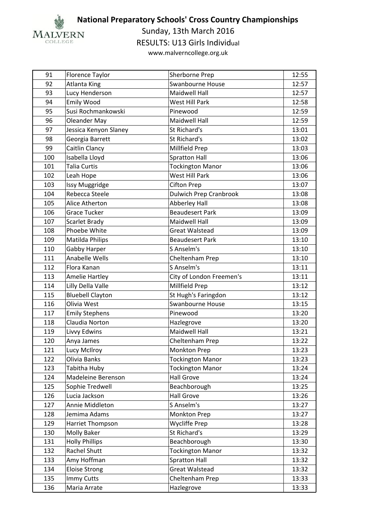

Sunday, 13th March 2016

RESULTS: U13 Girls Individual

| 91  | Florence Taylor         | Sherborne Prep                | 12:55 |
|-----|-------------------------|-------------------------------|-------|
| 92  | <b>Atlanta King</b>     | Swanbourne House              | 12:57 |
| 93  | Lucy Henderson          | Maidwell Hall                 | 12:57 |
| 94  | <b>Emily Wood</b>       | West Hill Park                | 12:58 |
| 95  | Susi Rochmankowski      | Pinewood                      | 12:59 |
| 96  | <b>Oleander May</b>     | <b>Maidwell Hall</b>          | 12:59 |
| 97  | Jessica Kenyon Slaney   | St Richard's                  | 13:01 |
| 98  | Georgia Barrett         | St Richard's                  | 13:02 |
| 99  | Caitlin Clancy          | Millfield Prep                | 13:03 |
| 100 | Isabella Lloyd          | <b>Spratton Hall</b>          | 13:06 |
| 101 | <b>Talia Curtis</b>     | <b>Tockington Manor</b>       | 13:06 |
| 102 | Leah Hope               | West Hill Park                | 13:06 |
| 103 | Issy Muggridge          | <b>Cifton Prep</b>            | 13:07 |
| 104 | Rebecca Steele          | <b>Dulwich Prep Cranbrook</b> | 13:08 |
| 105 | Alice Atherton          | <b>Abberley Hall</b>          | 13:08 |
| 106 | <b>Grace Tucker</b>     | <b>Beaudesert Park</b>        | 13:09 |
| 107 | Scarlet Brady           | <b>Maidwell Hall</b>          | 13:09 |
| 108 | Phoebe White            | <b>Great Walstead</b>         | 13:09 |
| 109 | Matilda Philips         | <b>Beaudesert Park</b>        | 13:10 |
| 110 | Gabby Harper            | S Anselm's                    | 13:10 |
| 111 | Anabelle Wells          | Cheltenham Prep               | 13:10 |
| 112 | Flora Kanan             | S Anselm's                    | 13:11 |
| 113 | <b>Amelie Hartley</b>   | City of London Freemen's      | 13:11 |
| 114 | Lilly Della Valle       | Millfield Prep                | 13:12 |
| 115 | <b>Bluebell Clayton</b> | St Hugh's Faringdon           | 13:12 |
| 116 | Olivia West             | Swanbourne House              | 13:15 |
| 117 | <b>Emily Stephens</b>   | Pinewood                      | 13:20 |
| 118 | Claudia Norton          | Hazlegrove                    | 13:20 |
| 119 | Livvy Edwins            | <b>Maidwell Hall</b>          | 13:21 |
| 120 | Anya James              | Cheltenham Prep               | 13:22 |
| 121 | Lucy McIlroy            | <b>Monkton Prep</b>           | 13:23 |
| 122 | Olivia Banks            | <b>Tockington Manor</b>       | 13:23 |
| 123 | Tabitha Huby            | <b>Tockington Manor</b>       | 13:24 |
| 124 | Madeleine Berenson      | <b>Hall Grove</b>             | 13:24 |
| 125 | Sophie Tredwell         | Beachborough                  | 13:25 |
| 126 | Lucia Jackson           | <b>Hall Grove</b>             | 13:26 |
| 127 | Annie Middleton         | S Anselm's                    | 13:27 |
| 128 | Jemima Adams            | Monkton Prep                  | 13:27 |
| 129 | Harriet Thompson        | Wycliffe Prep                 | 13:28 |
| 130 | Molly Baker             | St Richard's                  | 13:29 |
| 131 | <b>Holly Phillips</b>   | Beachborough                  | 13:30 |
| 132 | Rachel Shutt            | <b>Tockington Manor</b>       | 13:32 |
| 133 | Amy Hoffman             | <b>Spratton Hall</b>          | 13:32 |
| 134 | <b>Eloise Strong</b>    | <b>Great Walstead</b>         | 13:32 |
| 135 | Immy Cutts              | Cheltenham Prep               | 13:33 |
| 136 | Maria Arrate            | Hazlegrove                    | 13:33 |